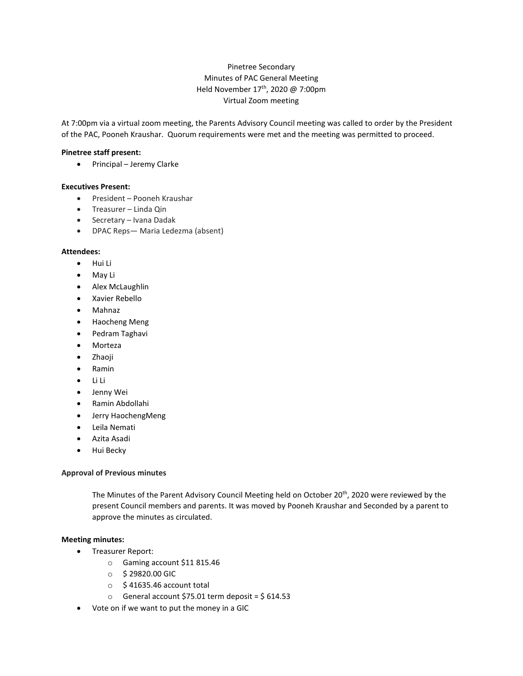# Pinetree Secondary Minutes of PAC General Meeting Held November 17th, 2020 @ 7:00pm Virtual Zoom meeting

At 7:00pm via a virtual zoom meeting, the Parents Advisory Council meeting was called to order by the President of the PAC, Pooneh Kraushar. Quorum requirements were met and the meeting was permitted to proceed.

## **Pinetree staff present:**

• Principal – Jeremy Clarke

### **Executives Present:**

- President Pooneh Kraushar
- Treasurer Linda Qin
- Secretary Ivana Dadak
- DPAC Reps— Maria Ledezma (absent)

### **Attendees:**

- Hui Li
- May Li
- Alex McLaughlin
- Xavier Rebello
- Mahnaz
- Haocheng Meng
- Pedram Taghavi
- Morteza
- Zhaoji
- Ramin
- Li Li
- Jenny Wei
- Ramin Abdollahi
- Jerry HaochengMeng
- Leila Nemati
- Azita Asadi
- Hui Becky

#### **Approval of Previous minutes**

The Minutes of the Parent Advisory Council Meeting held on October 20<sup>th</sup>, 2020 were reviewed by the present Council members and parents. It was moved by Pooneh Kraushar and Seconded by a parent to approve the minutes as circulated.

#### **Meeting minutes:**

- Treasurer Report:
	- o Gaming account \$11 815.46
	- o \$ 29820.00 GIC
	- o \$ 41635.46 account total
	- $\circ$  General account \$75.01 term deposit = \$614.53
- Vote on if we want to put the money in a GIC